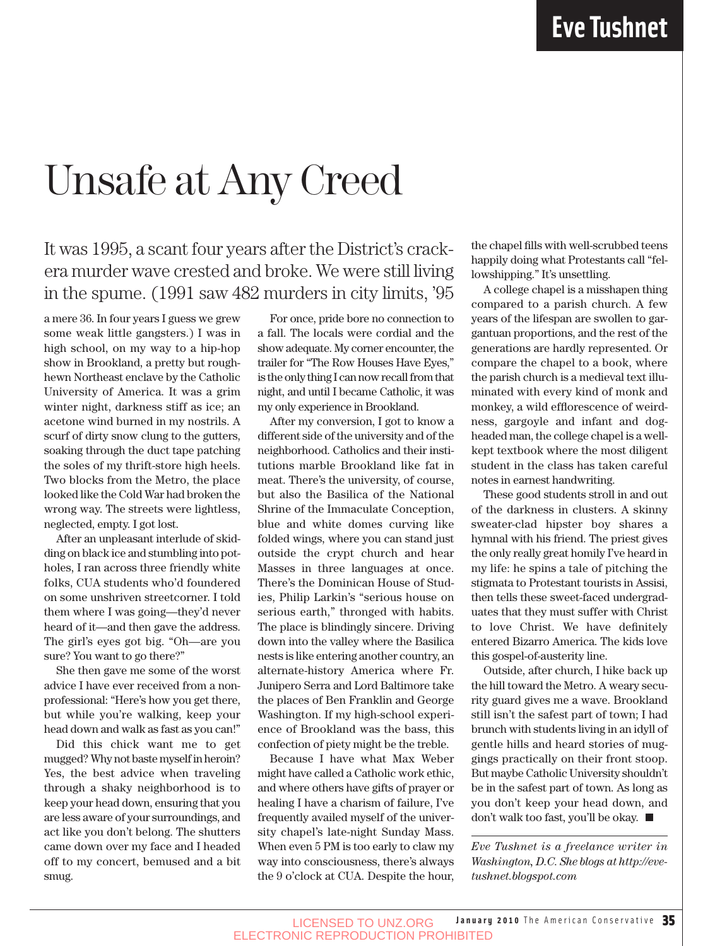## Unsafe at Any Creed

### It was 1995, a scant four years after the District's crackera murder wave crested and broke. We were still living in the spume. (1991 saw 482 murders in city limits, '95

a mere 36. In four years I guess we grew some weak little gangsters.) I was in high school, on my way to a hip-hop show in Brookland, a pretty but roughhewn Northeast enclave by the Catholic University of America. It was a grim winter night, darkness stiff as ice; an acetone wind burned in my nostrils. A scurf of dirty snow clung to the gutters, soaking through the duct tape patching the soles of my thrift-store high heels. Two blocks from the Metro, the place looked like the Cold War had broken the wrong way. The streets were lightless, neglected, empty. I got lost.

After an unpleasant interlude of skidding on black ice and stumbling into potholes, I ran across three friendly white folks, CUA students who'd foundered on some unshriven streetcorner. I told them where I was going—they'd never heard of it—and then gave the address. The girl's eyes got big. "Oh—are you sure? You want to go there?"

She then gave me some of the worst advice I have ever received from a nonprofessional: "Here's how you get there, but while you're walking, keep your head down and walk as fast as you can!"

Did this chick want me to get mugged? Why not baste myself in heroin? Yes, the best advice when traveling through a shaky neighborhood is to keep your head down, ensuring that you are less aware of your surroundings, and act like you don't belong. The shutters came down over my face and I headed off to my concert, bemused and a bit smug.

For once, pride bore no connection to a fall. The locals were cordial and the show adequate. My corner encounter, the trailer for "The Row Houses Have Eyes," is the only thing I can now recall from that night, and until I became Catholic, it was my only experience in Brookland.

After my conversion, I got to know a different side of the university and of the neighborhood. Catholics and their institutions marble Brookland like fat in meat. There's the university, of course, but also the Basilica of the National Shrine of the Immaculate Conception, blue and white domes curving like folded wings, where you can stand just outside the crypt church and hear Masses in three languages at once. There's the Dominican House of Studies, Philip Larkin's "serious house on serious earth," thronged with habits. The place is blindingly sincere. Driving down into the valley where the Basilica nests is like entering another country, an alternate-history America where Fr. Junipero Serra and Lord Baltimore take the places of Ben Franklin and George Washington. If my high-school experience of Brookland was the bass, this confection of piety might be the treble.

Because I have what Max Weber might have called a Catholic work ethic, and where others have gifts of prayer or healing I have a charism of failure, I've frequently availed myself of the university chapel's late-night Sunday Mass. When even 5 PM is too early to claw my way into consciousness, there's always the 9 o'clock at CUA. Despite the hour, the chapel fills with well-scrubbed teens happily doing what Protestants call "fellowshipping." It's unsettling.

A college chapel is a misshapen thing compared to a parish church. A few years of the lifespan are swollen to gargantuan proportions, and the rest of the generations are hardly represented. Or compare the chapel to a book, where the parish church is a medieval text illuminated with every kind of monk and monkey, a wild efflorescence of weirdness, gargoyle and infant and dogheaded man, the college chapel is a wellkept textbook where the most diligent student in the class has taken careful notes in earnest handwriting.

These good students stroll in and out of the darkness in clusters. A skinny sweater-clad hipster boy shares a hymnal with his friend. The priest gives the only really great homily I've heard in my life: he spins a tale of pitching the stigmata to Protestant tourists in Assisi, then tells these sweet-faced undergraduates that they must suffer with Christ to love Christ. We have definitely entered Bizarro America. The kids love this gospel-of-austerity line.

Outside, after church, I hike back up the hill toward the Metro. A weary security guard gives me a wave. Brookland still isn't the safest part of town; I had brunch with students living in an idyll of gentle hills and heard stories of muggings practically on their front stoop. But maybe Catholic University shouldn't be in the safest part of town. As long as you don't keep your head down, and don't walk too fast, you'll be okay.

*Eve Tushnet is a freelance writer in Washington, D.C. She blogs at http://evetushnet.blogspot.com*